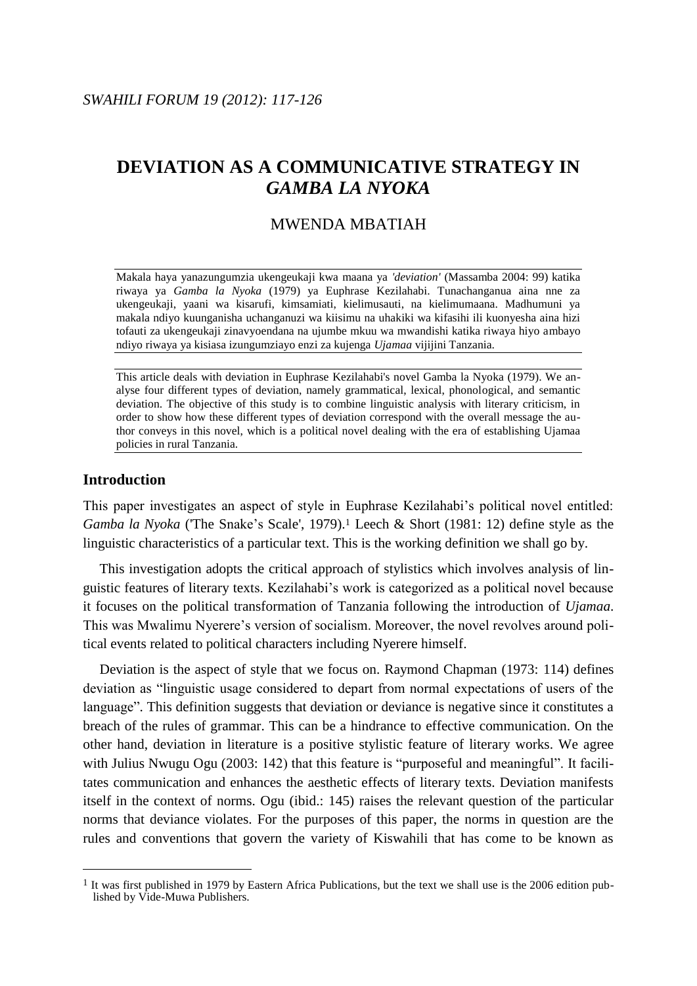# **DEVIATION AS A COMMUNICATIVE STRATEGY IN**  *GAMBA LA NYOKA*

## MWENDA MBATIAH

Makala haya yanazungumzia ukengeukaji kwa maana ya *'deviation'* (Massamba 2004: 99) katika riwaya ya *Gamba la Nyoka* (1979) ya Euphrase Kezilahabi. Tunachanganua aina nne za ukengeukaji, yaani wa kisarufi, kimsamiati, kielimusauti, na kielimumaana. Madhumuni ya makala ndiyo kuunganisha uchanganuzi wa kiisimu na uhakiki wa kifasihi ili kuonyesha aina hizi tofauti za ukengeukaji zinavyoendana na ujumbe mkuu wa mwandishi katika riwaya hiyo ambayo ndiyo riwaya ya kisiasa izungumziayo enzi za kujenga *Ujamaa* vijijini Tanzania.

This article deals with deviation in Euphrase Kezilahabi's novel Gamba la Nyoka (1979). We analyse four different types of deviation, namely grammatical, lexical, phonological, and semantic deviation. The objective of this study is to combine linguistic analysis with literary criticism, in order to show how these different types of deviation correspond with the overall message the author conveys in this novel, which is a political novel dealing with the era of establishing Ujamaa policies in rural Tanzania.

### **Introduction**

 $\overline{a}$ 

This paper investigates an aspect of style in Euphrase Kezilahabi's political novel entitled: *Gamba la Nyoka* ('The Snake's Scale', 1979). <sup>1</sup> Leech & Short (1981: 12) define style as the linguistic characteristics of a particular text. This is the working definition we shall go by.

This investigation adopts the critical approach of stylistics which involves analysis of linguistic features of literary texts. Kezilahabi's work is categorized as a political novel because it focuses on the political transformation of Tanzania following the introduction of *Ujamaa*. This was Mwalimu Nyerere's version of socialism. Moreover, the novel revolves around political events related to political characters including Nyerere himself.

Deviation is the aspect of style that we focus on. Raymond Chapman (1973: 114) defines deviation as "linguistic usage considered to depart from normal expectations of users of the language". This definition suggests that deviation or deviance is negative since it constitutes a breach of the rules of grammar. This can be a hindrance to effective communication. On the other hand, deviation in literature is a positive stylistic feature of literary works. We agree with Julius Nwugu Ogu (2003: 142) that this feature is "purposeful and meaningful". It facilitates communication and enhances the aesthetic effects of literary texts. Deviation manifests itself in the context of norms. Ogu (ibid.: 145) raises the relevant question of the particular norms that deviance violates. For the purposes of this paper, the norms in question are the rules and conventions that govern the variety of Kiswahili that has come to be known as

<sup>&</sup>lt;sup>1</sup> It was first published in 1979 by Eastern Africa Publications, but the text we shall use is the 2006 edition published by Vide-Muwa Publishers.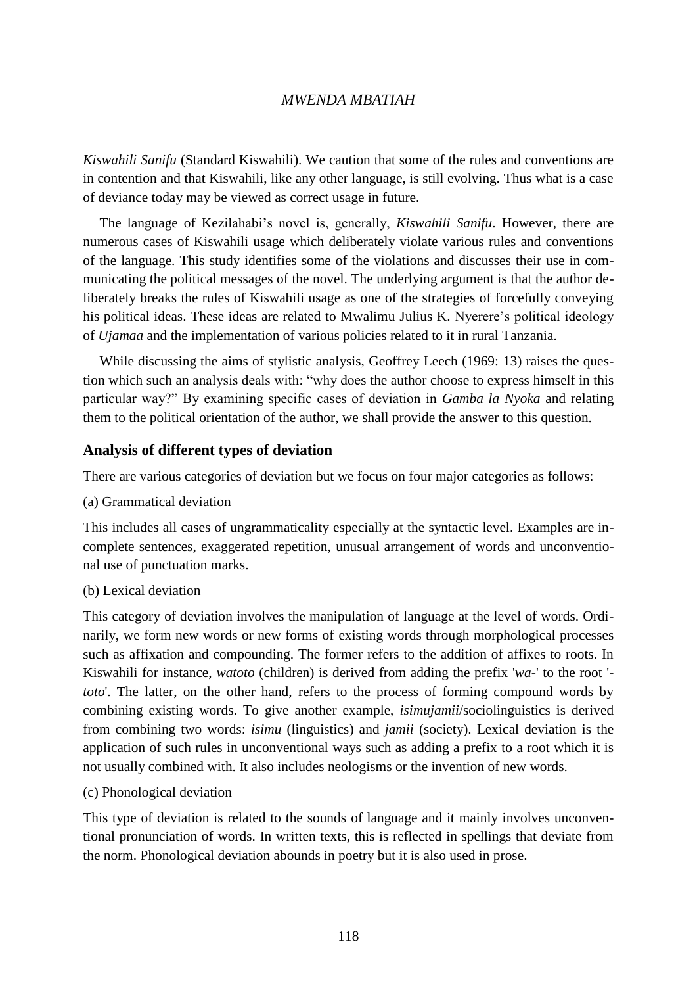*Kiswahili Sanifu* (Standard Kiswahili). We caution that some of the rules and conventions are in contention and that Kiswahili, like any other language, is still evolving. Thus what is a case of deviance today may be viewed as correct usage in future.

The language of Kezilahabi's novel is, generally, *Kiswahili Sanifu*. However, there are numerous cases of Kiswahili usage which deliberately violate various rules and conventions of the language. This study identifies some of the violations and discusses their use in communicating the political messages of the novel. The underlying argument is that the author deliberately breaks the rules of Kiswahili usage as one of the strategies of forcefully conveying his political ideas. These ideas are related to Mwalimu Julius K. Nyerere's political ideology of *Ujamaa* and the implementation of various policies related to it in rural Tanzania.

While discussing the aims of stylistic analysis, Geoffrey Leech (1969: 13) raises the question which such an analysis deals with: "why does the author choose to express himself in this particular way?" By examining specific cases of deviation in *Gamba la Nyoka* and relating them to the political orientation of the author, we shall provide the answer to this question.

### **Analysis of different types of deviation**

There are various categories of deviation but we focus on four major categories as follows:

(a) Grammatical deviation

This includes all cases of ungrammaticality especially at the syntactic level. Examples are incomplete sentences, exaggerated repetition, unusual arrangement of words and unconventional use of punctuation marks.

(b) Lexical deviation

This category of deviation involves the manipulation of language at the level of words. Ordinarily, we form new words or new forms of existing words through morphological processes such as affixation and compounding. The former refers to the addition of affixes to roots. In Kiswahili for instance, *watoto* (children) is derived from adding the prefix '*wa-*' to the root ' *toto*'. The latter, on the other hand, refers to the process of forming compound words by combining existing words. To give another example, *isimujamii*/sociolinguistics is derived from combining two words: *isimu* (linguistics) and *jamii* (society). Lexical deviation is the application of such rules in unconventional ways such as adding a prefix to a root which it is not usually combined with. It also includes neologisms or the invention of new words.

(c) Phonological deviation

This type of deviation is related to the sounds of language and it mainly involves unconventional pronunciation of words. In written texts, this is reflected in spellings that deviate from the norm. Phonological deviation abounds in poetry but it is also used in prose.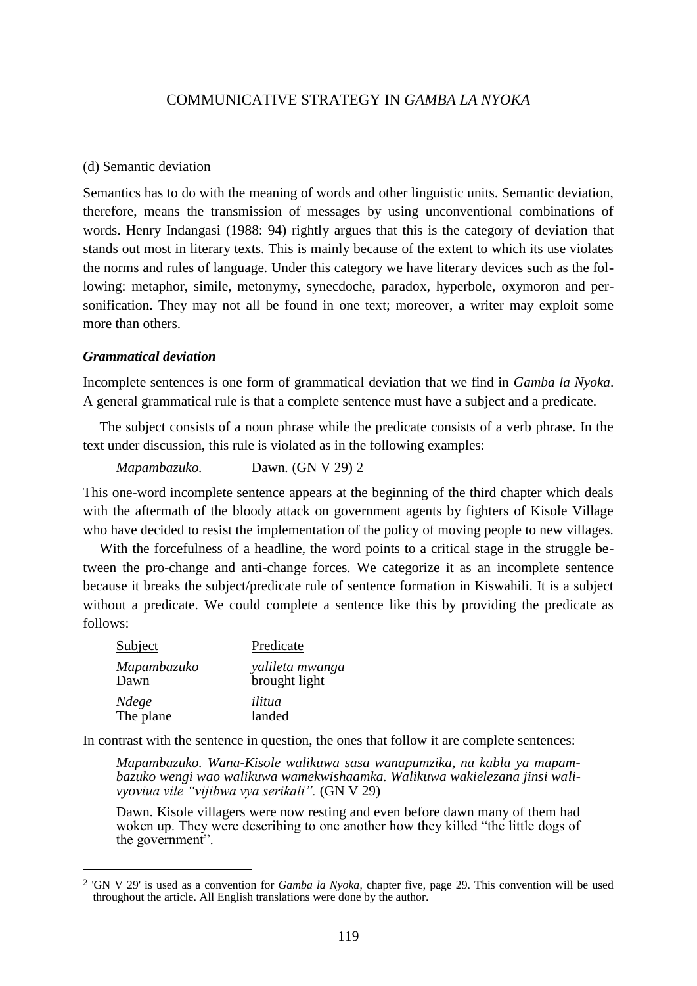#### (d) Semantic deviation

Semantics has to do with the meaning of words and other linguistic units. Semantic deviation, therefore, means the transmission of messages by using unconventional combinations of words. Henry Indangasi (1988: 94) rightly argues that this is the category of deviation that stands out most in literary texts. This is mainly because of the extent to which its use violates the norms and rules of language. Under this category we have literary devices such as the following: metaphor, simile, metonymy, synecdoche, paradox, hyperbole, oxymoron and personification. They may not all be found in one text; moreover, a writer may exploit some more than others.

#### *Grammatical deviation*

 $\overline{a}$ 

Incomplete sentences is one form of grammatical deviation that we find in *Gamba la Nyoka*. A general grammatical rule is that a complete sentence must have a subject and a predicate.

The subject consists of a noun phrase while the predicate consists of a verb phrase. In the text under discussion, this rule is violated as in the following examples:

*Mapambazuko.* Dawn*.* (GN V 29) 2

This one-word incomplete sentence appears at the beginning of the third chapter which deals with the aftermath of the bloody attack on government agents by fighters of Kisole Village who have decided to resist the implementation of the policy of moving people to new villages.

With the forcefulness of a headline, the word points to a critical stage in the struggle between the pro-change and anti-change forces. We categorize it as an incomplete sentence because it breaks the subject/predicate rule of sentence formation in Kiswahili. It is a subject without a predicate. We could complete a sentence like this by providing the predicate as follows:

| Subject     | Predicate       |
|-------------|-----------------|
| Mapambazuko | yalileta mwanga |
| Dawn        | brought light   |
| Ndege       | ilitua          |
| The plane   | landed          |

In contrast with the sentence in question, the ones that follow it are complete sentences:

*Mapambazuko. Wana-Kisole walikuwa sasa wanapumzika, na kabla ya mapambazuko wengi wao walikuwa wamekwishaamka. Walikuwa wakielezana jinsi walivyoviua vile "vijibwa vya serikali".* (GN V 29)

Dawn. Kisole villagers were now resting and even before dawn many of them had woken up. They were describing to one another how they killed "the little dogs of the government".

<sup>2</sup> 'GN V 29' is used as a convention for *Gamba la Nyoka*, chapter five, page 29. This convention will be used throughout the article. All English translations were done by the author.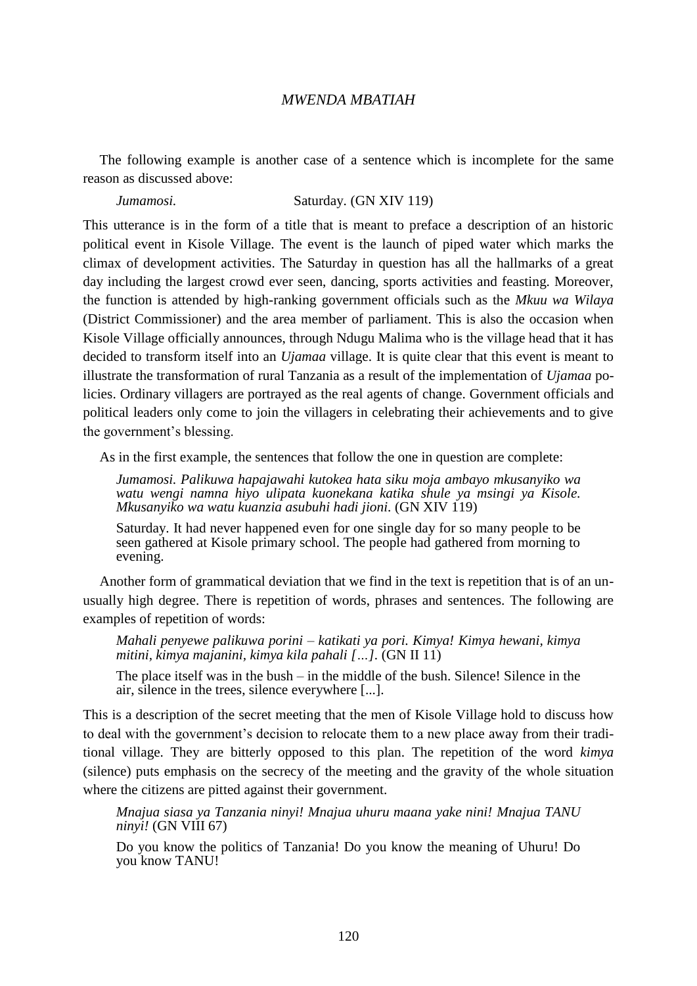The following example is another case of a sentence which is incomplete for the same reason as discussed above:

### *Jumamosi.* Saturday. (GN XIV 119)

This utterance is in the form of a title that is meant to preface a description of an historic political event in Kisole Village. The event is the launch of piped water which marks the climax of development activities. The Saturday in question has all the hallmarks of a great day including the largest crowd ever seen, dancing, sports activities and feasting. Moreover, the function is attended by high-ranking government officials such as the *Mkuu wa Wilaya* (District Commissioner) and the area member of parliament. This is also the occasion when Kisole Village officially announces, through Ndugu Malima who is the village head that it has decided to transform itself into an *Ujamaa* village. It is quite clear that this event is meant to illustrate the transformation of rural Tanzania as a result of the implementation of *Ujamaa* policies. Ordinary villagers are portrayed as the real agents of change. Government officials and political leaders only come to join the villagers in celebrating their achievements and to give the government's blessing.

As in the first example, the sentences that follow the one in question are complete:

*Jumamosi. Palikuwa hapajawahi kutokea hata siku moja ambayo mkusanyiko wa watu wengi namna hiyo ulipata kuonekana katika shule ya msingi ya Kisole. Mkusanyiko wa watu kuanzia asubuhi hadi jioni.* (GN XIV 119)

Saturday. It had never happened even for one single day for so many people to be seen gathered at Kisole primary school. The people had gathered from morning to evening.

Another form of grammatical deviation that we find in the text is repetition that is of an unusually high degree. There is repetition of words, phrases and sentences. The following are examples of repetition of words:

*Mahali penyewe palikuwa porini – katikati ya pori. Kimya! Kimya hewani, kimya mitini, kimya majanini, kimya kila pahali […].* (GN II 11)

The place itself was in the bush – in the middle of the bush. Silence! Silence in the air, silence in the trees, silence everywhere [...].

This is a description of the secret meeting that the men of Kisole Village hold to discuss how to deal with the government's decision to relocate them to a new place away from their traditional village. They are bitterly opposed to this plan. The repetition of the word *kimya* (silence) puts emphasis on the secrecy of the meeting and the gravity of the whole situation where the citizens are pitted against their government.

*Mnajua siasa ya Tanzania ninyi! Mnajua uhuru maana yake nini! Mnajua TANU ninyi!* (GN VIII 67)

Do you know the politics of Tanzania! Do you know the meaning of Uhuru! Do you know TANU!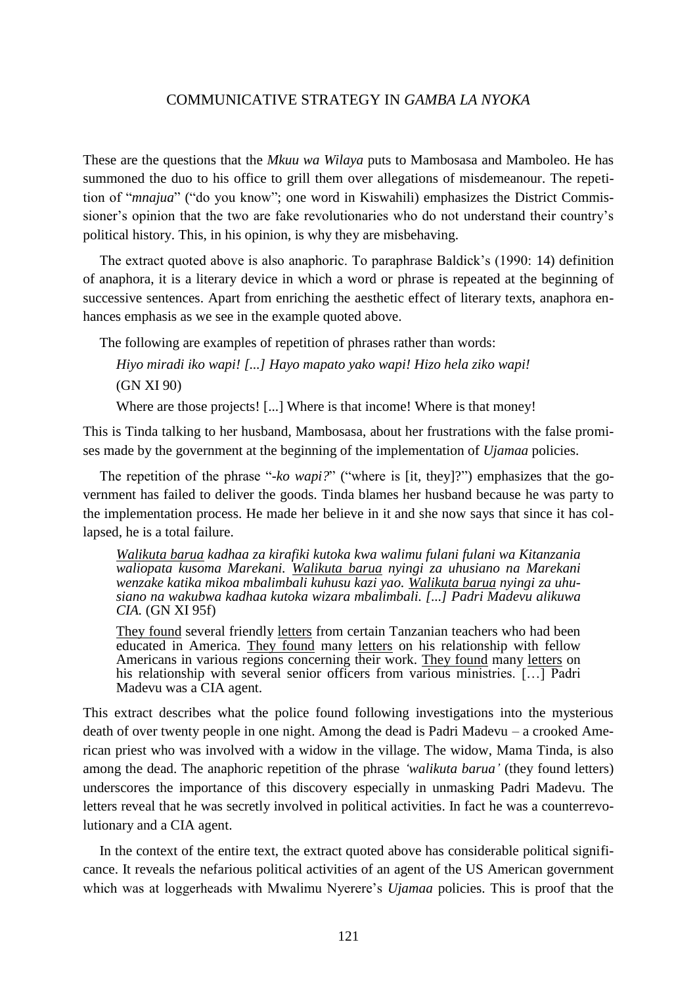These are the questions that the *Mkuu wa Wilaya* puts to Mambosasa and Mamboleo. He has summoned the duo to his office to grill them over allegations of misdemeanour. The repetition of "*mnajua*" ("do you know"; one word in Kiswahili) emphasizes the District Commissioner's opinion that the two are fake revolutionaries who do not understand their country's political history. This, in his opinion, is why they are misbehaving.

The extract quoted above is also anaphoric. To paraphrase Baldick's (1990: 14) definition of anaphora, it is a literary device in which a word or phrase is repeated at the beginning of successive sentences. Apart from enriching the aesthetic effect of literary texts, anaphora enhances emphasis as we see in the example quoted above.

The following are examples of repetition of phrases rather than words:

*Hiyo miradi iko wapi! [...] Hayo mapato yako wapi! Hizo hela ziko wapi!* (GN XI 90)

Where are those projects! [...] Where is that income! Where is that money!

This is Tinda talking to her husband, Mambosasa, about her frustrations with the false promises made by the government at the beginning of the implementation of *Ujamaa* policies.

The repetition of the phrase "-*ko wapi?*" ("where is [it, they]?") emphasizes that the government has failed to deliver the goods. Tinda blames her husband because he was party to the implementation process. He made her believe in it and she now says that since it has collapsed, he is a total failure.

*Walikuta barua kadhaa za kirafiki kutoka kwa walimu fulani fulani wa Kitanzania waliopata kusoma Marekani. Walikuta barua nyingi za uhusiano na Marekani wenzake katika mikoa mbalimbali kuhusu kazi yao. Walikuta barua nyingi za uhusiano na wakubwa kadhaa kutoka wizara mbalimbali. [...] Padri Madevu alikuwa CIA.* (GN XI 95f)

They found several friendly letters from certain Tanzanian teachers who had been educated in America. They found many letters on his relationship with fellow Americans in various regions concerning their work. They found many letters on his relationship with several senior officers from various ministries. [...] Padri Madevu was a CIA agent.

This extract describes what the police found following investigations into the mysterious death of over twenty people in one night. Among the dead is Padri Madevu – a crooked American priest who was involved with a widow in the village. The widow, Mama Tinda, is also among the dead. The anaphoric repetition of the phrase *'walikuta barua'* (they found letters) underscores the importance of this discovery especially in unmasking Padri Madevu. The letters reveal that he was secretly involved in political activities. In fact he was a counterrevolutionary and a CIA agent.

In the context of the entire text, the extract quoted above has considerable political significance. It reveals the nefarious political activities of an agent of the US American government which was at loggerheads with Mwalimu Nyerere's *Ujamaa* policies. This is proof that the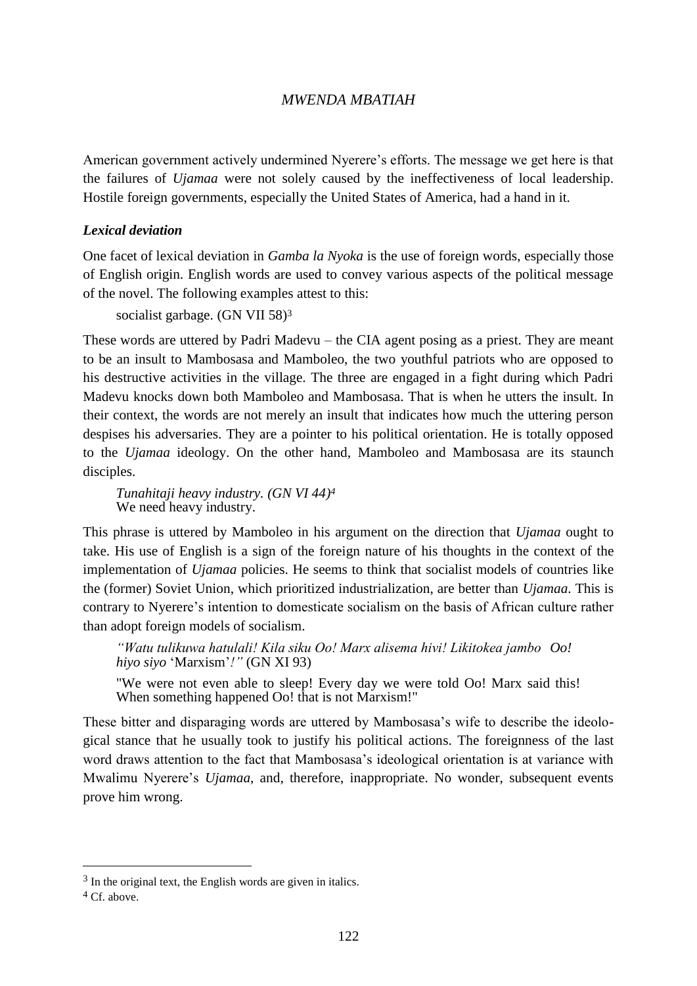American government actively undermined Nyerere's efforts. The message we get here is that the failures of *Ujamaa* were not solely caused by the ineffectiveness of local leadership. Hostile foreign governments, especially the United States of America, had a hand in it.

### *Lexical deviation*

One facet of lexical deviation in *Gamba la Nyoka* is the use of foreign words, especially those of English origin. English words are used to convey various aspects of the political message of the novel. The following examples attest to this:

socialist garbage. (GN VII 58)<sup>3</sup>

These words are uttered by Padri Madevu – the CIA agent posing as a priest. They are meant to be an insult to Mambosasa and Mamboleo, the two youthful patriots who are opposed to his destructive activities in the village. The three are engaged in a fight during which Padri Madevu knocks down both Mamboleo and Mambosasa. That is when he utters the insult. In their context, the words are not merely an insult that indicates how much the uttering person despises his adversaries. They are a pointer to his political orientation. He is totally opposed to the *Ujamaa* ideology. On the other hand, Mamboleo and Mambosasa are its staunch disciples.

*Tunahitaji heavy industry. (GN VI 44) 4* We need heavy industry.

This phrase is uttered by Mamboleo in his argument on the direction that *Ujamaa* ought to take. His use of English is a sign of the foreign nature of his thoughts in the context of the implementation of *Ujamaa* policies. He seems to think that socialist models of countries like the (former) Soviet Union, which prioritized industrialization, are better than *Ujamaa*. This is contrary to Nyerere's intention to domesticate socialism on the basis of African culture rather than adopt foreign models of socialism.

*"Watu tulikuwa hatulali! Kila siku Oo! Marx alisema hivi! Likitokea jambo Oo! hiyo siyo* 'Marxism'*!"* (GN XI 93)

"We were not even able to sleep! Every day we were told Oo! Marx said this! When something happened Oo! that is not Marxism!"

These bitter and disparaging words are uttered by Mambosasa's wife to describe the ideological stance that he usually took to justify his political actions. The foreignness of the last word draws attention to the fact that Mambosasa's ideological orientation is at variance with Mwalimu Nyerere's *Ujamaa*, and, therefore, inappropriate. No wonder, subsequent events prove him wrong.

 $\overline{a}$ 

<sup>3</sup> In the original text, the English words are given in italics.

<sup>&</sup>lt;sup>4</sup> Cf. above.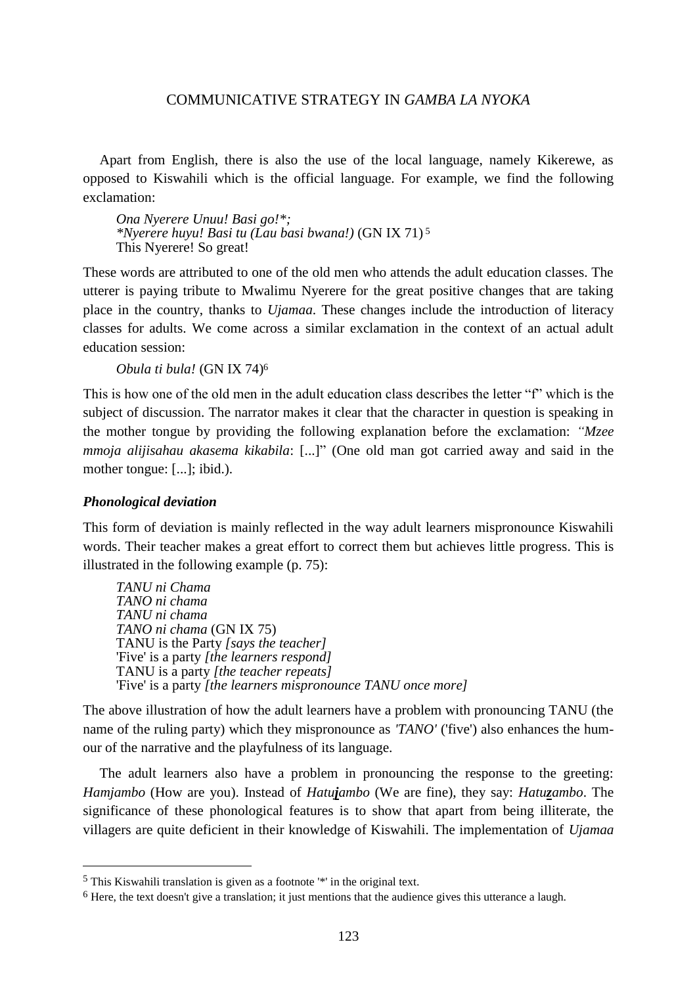Apart from English, there is also the use of the local language, namely Kikerewe, as opposed to Kiswahili which is the official language. For example, we find the following exclamation:

*Ona Nyerere Unuu! Basi go!\*; \*Nyerere huyu! Basi tu (Lau basi bwana!)* (GN IX 71) <sup>5</sup> This Nyerere! So great!

These words are attributed to one of the old men who attends the adult education classes. The utterer is paying tribute to Mwalimu Nyerere for the great positive changes that are taking place in the country, thanks to *Ujamaa*. These changes include the introduction of literacy classes for adults. We come across a similar exclamation in the context of an actual adult education session:

*Obula ti bula!* (GN IX 74)<sup>6</sup>

This is how one of the old men in the adult education class describes the letter "f" which is the subject of discussion. The narrator makes it clear that the character in question is speaking in the mother tongue by providing the following explanation before the exclamation: *"Mzee mmoja alijisahau akasema kikabila*: [...]" (One old man got carried away and said in the mother tongue: [...]; ibid.).

#### *Phonological deviation*

 $\overline{a}$ 

This form of deviation is mainly reflected in the way adult learners mispronounce Kiswahili words. Their teacher makes a great effort to correct them but achieves little progress. This is illustrated in the following example (p. 75):

*TANU ni Chama TANO ni chama TANU ni chama TANO ni chama* (GN IX 75) TANU is the Party *[says the teacher]* 'Five' is a party *[the learners respond]* TANU is a party *[the teacher repeats]* 'Five' is a party *[the learners mispronounce TANU once more]*

The above illustration of how the adult learners have a problem with pronouncing TANU (the name of the ruling party) which they mispronounce as *'TANO'* ('five') also enhances the humour of the narrative and the playfulness of its language.

The adult learners also have a problem in pronouncing the response to the greeting: *Hamjambo* (How are you). Instead of *Hatujambo* (We are fine), they say: *Hatuzambo*. The significance of these phonological features is to show that apart from being illiterate, the villagers are quite deficient in their knowledge of Kiswahili. The implementation of *Ujamaa* 

<sup>5</sup> This Kiswahili translation is given as a footnote '\*' in the original text.

<sup>6</sup> Here, the text doesn't give a translation; it just mentions that the audience gives this utterance a laugh.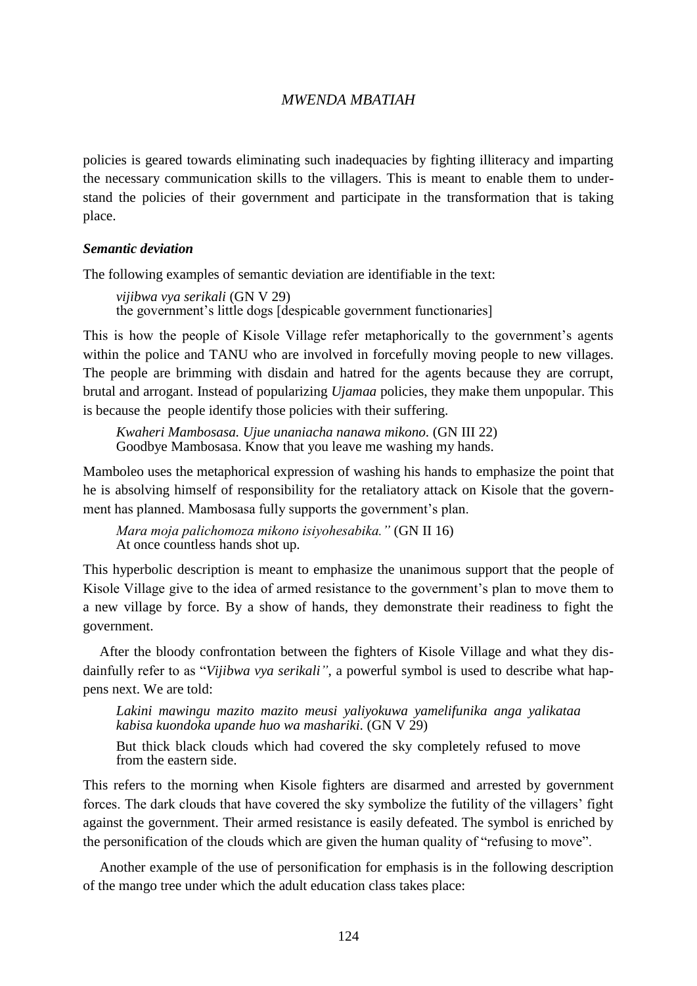policies is geared towards eliminating such inadequacies by fighting illiteracy and imparting the necessary communication skills to the villagers. This is meant to enable them to understand the policies of their government and participate in the transformation that is taking place.

#### *Semantic deviation*

The following examples of semantic deviation are identifiable in the text:

*vijibwa vya serikali* (GN V 29) the government's little dogs [despicable government functionaries]

This is how the people of Kisole Village refer metaphorically to the government's agents within the police and TANU who are involved in forcefully moving people to new villages. The people are brimming with disdain and hatred for the agents because they are corrupt, brutal and arrogant. Instead of popularizing *Ujamaa* policies, they make them unpopular. This is because the people identify those policies with their suffering.

*Kwaheri Mambosasa. Ujue unaniacha nanawa mikono.* (GN III 22) Goodbye Mambosasa. Know that you leave me washing my hands.

Mamboleo uses the metaphorical expression of washing his hands to emphasize the point that he is absolving himself of responsibility for the retaliatory attack on Kisole that the government has planned. Mambosasa fully supports the government's plan.

*Mara moja palichomoza mikono isiyohesabika."* (GN II 16) At once countless hands shot up*.*

This hyperbolic description is meant to emphasize the unanimous support that the people of Kisole Village give to the idea of armed resistance to the government's plan to move them to a new village by force. By a show of hands, they demonstrate their readiness to fight the government.

After the bloody confrontation between the fighters of Kisole Village and what they disdainfully refer to as "*Vijibwa vya serikali"*, a powerful symbol is used to describe what happens next. We are told:

*Lakini mawingu mazito mazito meusi yaliyokuwa yamelifunika anga yalikataa kabisa kuondoka upande huo wa mashariki.* (GN V 29)

But thick black clouds which had covered the sky completely refused to move from the eastern side.

This refers to the morning when Kisole fighters are disarmed and arrested by government forces. The dark clouds that have covered the sky symbolize the futility of the villagers' fight against the government. Their armed resistance is easily defeated. The symbol is enriched by the personification of the clouds which are given the human quality of "refusing to move".

Another example of the use of personification for emphasis is in the following description of the mango tree under which the adult education class takes place: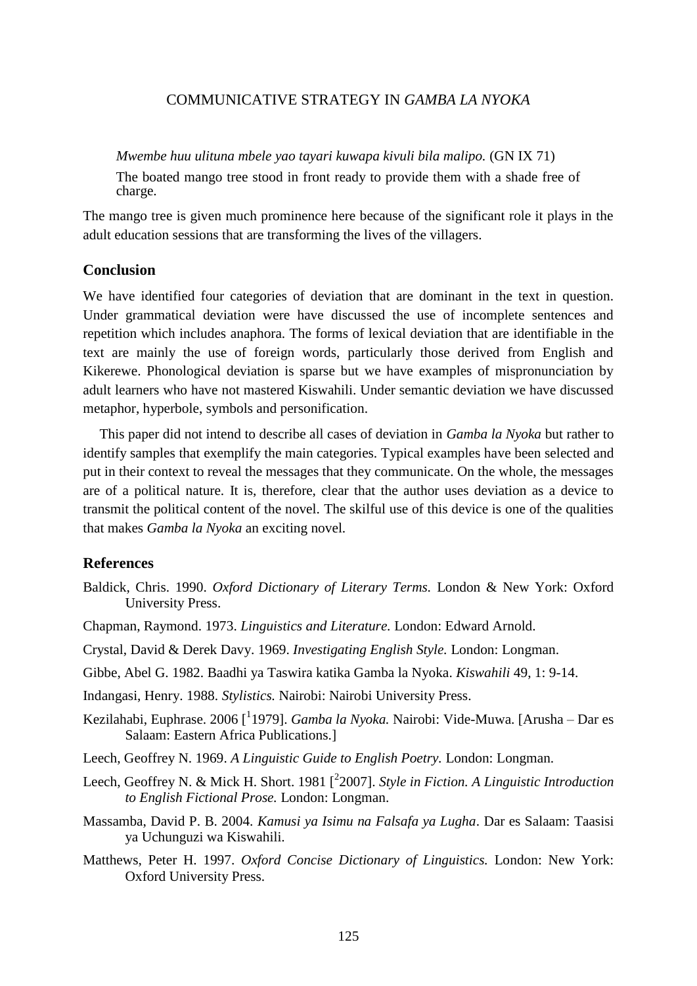*Mwembe huu ulituna mbele yao tayari kuwapa kivuli bila malipo.* (GN IX 71)

The boated mango tree stood in front ready to provide them with a shade free of charge.

The mango tree is given much prominence here because of the significant role it plays in the adult education sessions that are transforming the lives of the villagers.

#### **Conclusion**

We have identified four categories of deviation that are dominant in the text in question. Under grammatical deviation were have discussed the use of incomplete sentences and repetition which includes anaphora. The forms of lexical deviation that are identifiable in the text are mainly the use of foreign words, particularly those derived from English and Kikerewe. Phonological deviation is sparse but we have examples of mispronunciation by adult learners who have not mastered Kiswahili. Under semantic deviation we have discussed metaphor, hyperbole, symbols and personification.

This paper did not intend to describe all cases of deviation in *Gamba la Nyoka* but rather to identify samples that exemplify the main categories. Typical examples have been selected and put in their context to reveal the messages that they communicate. On the whole, the messages are of a political nature. It is, therefore, clear that the author uses deviation as a device to transmit the political content of the novel. The skilful use of this device is one of the qualities that makes *Gamba la Nyoka* an exciting novel.

### **References**

- Baldick, Chris. 1990. *Oxford Dictionary of Literary Terms.* London & New York: Oxford University Press.
- Chapman, Raymond. 1973. *Linguistics and Literature.* London: Edward Arnold.
- Crystal, David & Derek Davy. 1969. *Investigating English Style.* London: Longman.
- Gibbe, Abel G. 1982. Baadhi ya Taswira katika Gamba la Nyoka. *Kiswahili* 49, 1: 9-14.

Indangasi, Henry. 1988. *Stylistics.* Nairobi: Nairobi University Press.

- Kezilahabi, Euphrase. 2006 <sup>[1</sup>1979]. *Gamba la Nyoka*. Nairobi: Vide-Muwa. [Arusha Dar es Salaam: Eastern Africa Publications.]
- Leech, Geoffrey N. 1969. *A Linguistic Guide to English Poetry.* London: Longman.
- Leech, Geoffrey N. & Mick H. Short. 1981 [ 2 2007]. *Style in Fiction. A Linguistic Introduction to English Fictional Prose.* London: Longman.
- Massamba, David P. B. 2004. *Kamusi ya Isimu na Falsafa ya Lugha*. Dar es Salaam: Taasisi ya Uchunguzi wa Kiswahili.
- Matthews, Peter H. 1997. *Oxford Concise Dictionary of Linguistics.* London: New York: Oxford University Press.